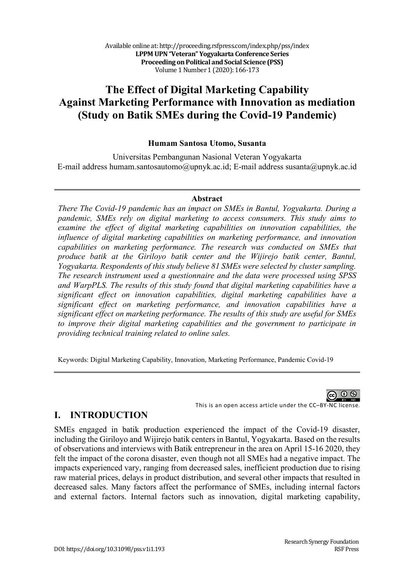# **The Effect of Digital Marketing Capability Against Marketing Performance with Innovation as mediation (Study on Batik SMEs during the Covid-19 Pandemic)**

### **Humam Santosa Utomo, Susanta**

Universitas Pembangunan Nasional Veteran Yogyakarta E-mail address humam.santosautomo@upnyk.ac.id; E-mail address susanta@upnyk.ac.id

#### **Abstract**

*There The Covid-19 pandemic has an impact on SMEs in Bantul, Yogyakarta. During a pandemic, SMEs rely on digital marketing to access consumers. This study aims to examine the effect of digital marketing capabilities on innovation capabilities, the influence of digital marketing capabilities on marketing performance, and innovation capabilities on marketing performance. The research was conducted on SMEs that produce batik at the Giriloyo batik center and the Wijirejo batik center, Bantul, Yogyakarta. Respondents of this study believe 81 SMEs were selected by cluster sampling. The research instrument used a questionnaire and the data were processed using SPSS and WarpPLS. The results of this study found that digital marketing capabilities have a significant effect on innovation capabilities, digital marketing capabilities have a significant effect on marketing performance, and innovation capabilities have a significant effect on marketing performance. The results of this study are useful for SMEs to improve their digital marketing capabilities and the government to participate in providing technical training related to online sales.*

Keywords: Digital Marketing Capability, Innovation, Marketing Performance, Pandemic Covid-19

 $\odot$   $\odot$ 

This is an open access article under the CC–BY-NC license.

## **I. INTRODUCTION**

SMEs engaged in batik production experienced the impact of the Covid-19 disaster, including the Giriloyo and Wijirejo batik centers in Bantul, Yogyakarta. Based on the results of observations and interviews with Batik entrepreneur in the area on April 15-16 2020, they felt the impact of the corona disaster, even though not all SMEs had a negative impact. The impacts experienced vary, ranging from decreased sales, inefficient production due to rising raw material prices, delays in product distribution, and several other impacts that resulted in decreased sales. Many factors affect the performance of SMEs, including internal factors and external factors. Internal factors such as innovation, digital marketing capability,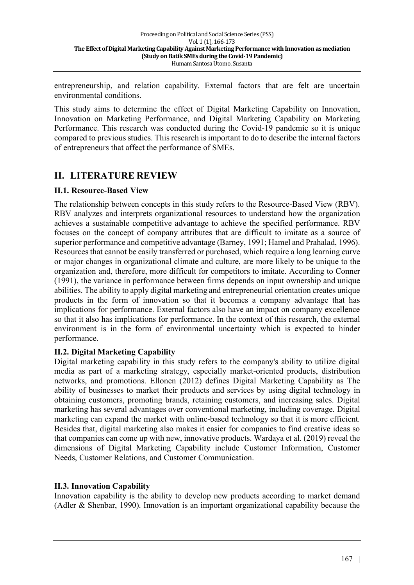entrepreneurship, and relation capability. External factors that are felt are uncertain environmental conditions.

This study aims to determine the effect of Digital Marketing Capability on Innovation, Innovation on Marketing Performance, and Digital Marketing Capability on Marketing Performance. This research was conducted during the Covid-19 pandemic so it is unique compared to previous studies. This research is important to do to describe the internal factors of entrepreneurs that affect the performance of SMEs.

# **II. LITERATURE REVIEW**

### **II.1. Resource-Based View**

The relationship between concepts in this study refers to the Resource-Based View (RBV). RBV analyzes and interprets organizational resources to understand how the organization achieves a sustainable competitive advantage to achieve the specified performance. RBV focuses on the concept of company attributes that are difficult to imitate as a source of superior performance and competitive advantage (Barney, 1991; Hamel and Prahalad, 1996). Resources that cannot be easily transferred or purchased, which require a long learning curve or major changes in organizational climate and culture, are more likely to be unique to the organization and, therefore, more difficult for competitors to imitate. According to Conner (1991), the variance in performance between firms depends on input ownership and unique abilities. The ability to apply digital marketing and entrepreneurial orientation creates unique products in the form of innovation so that it becomes a company advantage that has implications for performance. External factors also have an impact on company excellence so that it also has implications for performance. In the context of this research, the external environment is in the form of environmental uncertainty which is expected to hinder performance.

### **II.2. Digital Marketing Capability**

Digital marketing capability in this study refers to the company's ability to utilize digital media as part of a marketing strategy, especially market-oriented products, distribution networks, and promotions. Ellonen (2012) defines Digital Marketing Capability as The ability of businesses to market their products and services by using digital technology in obtaining customers, promoting brands, retaining customers, and increasing sales. Digital marketing has several advantages over conventional marketing, including coverage. Digital marketing can expand the market with online-based technology so that it is more efficient. Besides that, digital marketing also makes it easier for companies to find creative ideas so that companies can come up with new, innovative products. Wardaya et al. (2019) reveal the dimensions of Digital Marketing Capability include Customer Information, Customer Needs, Customer Relations, and Customer Communication.

### **II.3. Innovation Capability**

Innovation capability is the ability to develop new products according to market demand (Adler & Shenbar, 1990). Innovation is an important organizational capability because the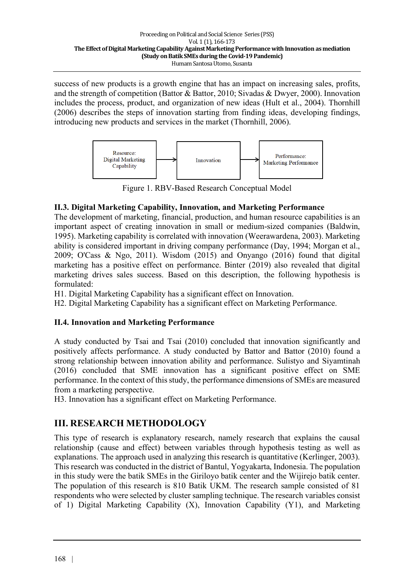success of new products is a growth engine that has an impact on increasing sales, profits, and the strength of competition (Battor & Battor, 2010; Sivadas & Dwyer, 2000). Innovation includes the process, product, and organization of new ideas (Hult et al., 2004). Thornhill (2006) describes the steps of innovation starting from finding ideas, developing findings, introducing new products and services in the market (Thornhill, 2006).



Figure 1. RBV-Based Research Conceptual Model

### **II.3. Digital Marketing Capability, Innovation, and Marketing Performance**

The development of marketing, financial, production, and human resource capabilities is an important aspect of creating innovation in small or medium-sized companies (Baldwin, 1995). Marketing capability is correlated with innovation (Weerawardena, 2003). Marketing ability is considered important in driving company performance (Day, 1994; Morgan et al., 2009; O'Cass & Ngo, 2011). Wisdom (2015) and Onyango (2016) found that digital marketing has a positive effect on performance. Binter (2019) also revealed that digital marketing drives sales success. Based on this description, the following hypothesis is formulated:

H1. Digital Marketing Capability has a significant effect on Innovation.

H2. Digital Marketing Capability has a significant effect on Marketing Performance.

### **II.4. Innovation and Marketing Performance**

A study conducted by Tsai and Tsai (2010) concluded that innovation significantly and positively affects performance. A study conducted by Battor and Battor (2010) found a strong relationship between innovation ability and performance. Sulistyo and Siyamtinah (2016) concluded that SME innovation has a significant positive effect on SME performance. In the context of this study, the performance dimensions of SMEs are measured from a marketing perspective.

H3. Innovation has a significant effect on Marketing Performance.

# **III. RESEARCH METHODOLOGY**

This type of research is explanatory research, namely research that explains the causal relationship (cause and effect) between variables through hypothesis testing as well as explanations. The approach used in analyzing this research is quantitative (Kerlinger, 2003). This research was conducted in the district of Bantul, Yogyakarta, Indonesia. The population in this study were the batik SMEs in the Giriloyo batik center and the Wijirejo batik center. The population of this research is 810 Batik UKM. The research sample consisted of 81 respondents who were selected by cluster sampling technique. The research variables consist of 1) Digital Marketing Capability (X), Innovation Capability (Y1), and Marketing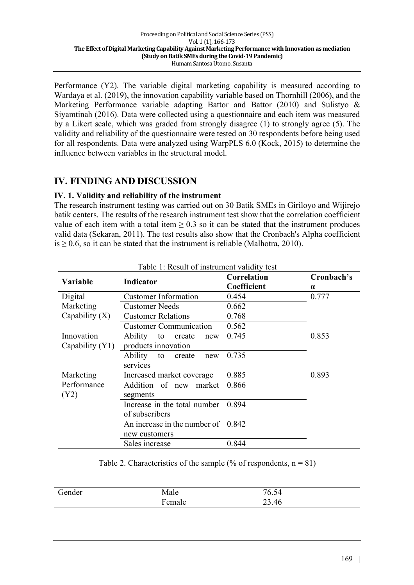Performance (Y2). The variable digital marketing capability is measured according to Wardaya et al. (2019), the innovation capability variable based on Thornhill (2006), and the Marketing Performance variable adapting Battor and Battor (2010) and Sulistyo & Siyamtinah (2016). Data were collected using a questionnaire and each item was measured by a Likert scale, which was graded from strongly disagree (1) to strongly agree (5). The validity and reliability of the questionnaire were tested on 30 respondents before being used for all respondents. Data were analyzed using WarpPLS 6.0 (Kock, 2015) to determine the influence between variables in the structural model.

# **IV. FINDING AND DISCUSSION**

### **IV. 1. Validity and reliability of the instrument**

The research instrument testing was carried out on 30 Batik SMEs in Giriloyo and Wijirejo batik centers. The results of the research instrument test show that the correlation coefficient value of each item with a total item  $> 0.3$  so it can be stated that the instrument produces valid data (Sekaran, 2011). The test results also show that the Cronbach's Alpha coefficient is  $\geq$  0.6, so it can be stated that the instrument is reliable (Malhotra, 2010).

| Variable          | Indicator                             | Correlation<br>Coefficient | Cronbach's<br>$\alpha$ |
|-------------------|---------------------------------------|----------------------------|------------------------|
| Digital           | <b>Customer Information</b>           | 0.454                      | 0.777                  |
| Marketing         | <b>Customer Needs</b>                 | 0.662                      |                        |
| Capability $(X)$  | <b>Customer Relations</b>             | 0.768                      |                        |
|                   | <b>Customer Communication</b>         | 0.562                      |                        |
| Innovation        | <b>Ability</b><br>to<br>create<br>new | 0.745                      | 0.853                  |
| Capability $(Y1)$ | products innovation                   |                            |                        |
|                   | Ability<br>to<br>create<br>new        | 0.735                      |                        |
|                   | services                              |                            |                        |
| Marketing         | Increased market coverage             | 0.885                      | 0.893                  |
| Performance       | Addition of new<br>market             | 0.866                      |                        |
| (Y2)              | segments                              |                            |                        |
|                   | Increase in the total number          | 0.894                      |                        |
|                   | of subscribers                        |                            |                        |
|                   | An increase in the number of $0.842$  |                            |                        |
|                   | new customers                         |                            |                        |
|                   | Sales increase                        | 0.844                      |                        |

Table 1: Result of instrument validity test

Table 2. Characteristics of the sample (% of respondents,  $n = 81$ )

| Gender | Male        | $\sim$ $\sim$<br>Ð<br>٠<br>$\mathsf{U}$ . |
|--------|-------------|-------------------------------------------|
|        | T.<br>emale | າາ<br>$\Delta f$<br>4<br>29.TV            |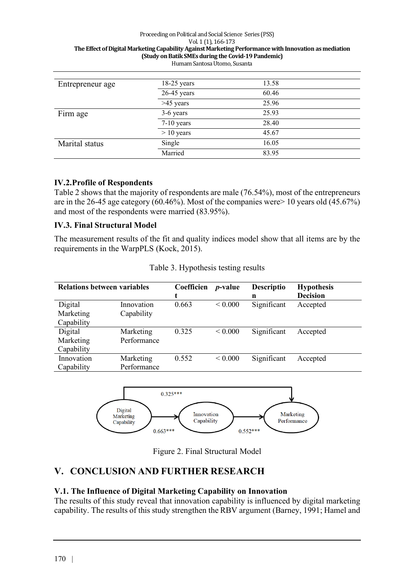#### Proceeding on Political and Social Science Series (PSS) Vol. 1 (1), 166-173 The Effect of Digital Marketing Capability Against Marketing Performance with Innovation as mediation **(Study on Batik SMEs during the Covid-19 Pandemic)** Humam Santosa Utomo, Susanta

| Entrepreneur age | $18-25$ years | 13.58 |  |
|------------------|---------------|-------|--|
|                  | $26-45$ years | 60.46 |  |
|                  | $>45$ years   | 25.96 |  |
| Firm age         | 3-6 years     | 25.93 |  |
|                  | $7-10$ years  | 28.40 |  |
|                  | $> 10$ years  | 45.67 |  |
| Marital status   | Single        | 16.05 |  |
|                  | Married       | 83.95 |  |

### **IV.2.Profile of Respondents**

Table 2 shows that the majority of respondents are male (76.54%), most of the entrepreneurs are in the 26-45 age category (60.46%). Most of the companies were> 10 years old (45.67%) and most of the respondents were married (83.95%).

### **IV.3. Final Structural Model**

The measurement results of the fit and quality indices model show that all items are by the requirements in the WarpPLS (Kock, 2015).

| <b>Relations between variables</b> |                          | Coefficien | <i>p</i> -value | <b>Descriptio</b><br>n | <b>Hypothesis</b><br><b>Decision</b> |
|------------------------------------|--------------------------|------------|-----------------|------------------------|--------------------------------------|
| Digital<br>Marketing<br>Capability | Innovation<br>Capability | 0.663      | ${}_{0.000}$    | Significant            | Accepted                             |
| Digital<br>Marketing<br>Capability | Marketing<br>Performance | 0.325      | ${}< 0.000$     | Significant            | Accepted                             |
| Innovation<br>Capability           | Marketing<br>Performance | 0.552      | ${}< 0.000$     | Significant            | Accepted                             |



Figure 2. Final Structural Model

## **V. CONCLUSION AND FURTHER RESEARCH**

### **V.1. The Influence of Digital Marketing Capability on Innovation**

The results of this study reveal that innovation capability is influenced by digital marketing capability. The results of this study strengthen the RBV argument (Barney, 1991; Hamel and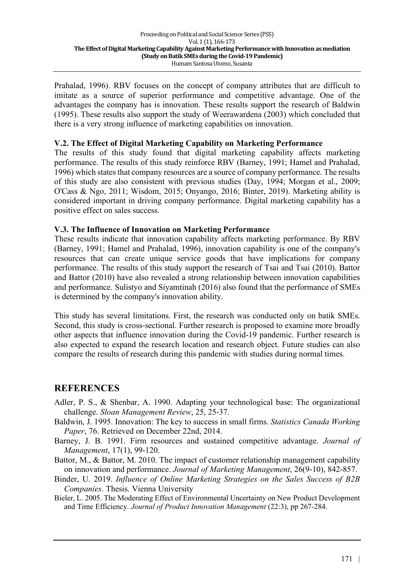Prahalad, 1996). RBV focuses on the concept of company attributes that are difficult to imitate as a source of superior performance and competitive advantage. One of the advantages the company has is innovation. These results support the research of Baldwin (1995). These results also support the study of Weerawardena (2003) which concluded that there is a very strong influence of marketing capabilities on innovation.

### **V.2. The Effect of Digital Marketing Capability on Marketing Performance**

The results of this study found that digital marketing capability affects marketing performance. The results of this study reinforce RBV (Barney, 1991; Hamel and Prahalad, 1996) which states that company resources are a source of company performance. The results of this study are also consistent with previous studies (Day, 1994; Morgan et al., 2009; O'Cass & Ngo, 2011; Wisdom, 2015; Onyango, 2016; Binter, 2019). Marketing ability is considered important in driving company performance. Digital marketing capability has a positive effect on sales success.

### **V.3. The Influence of Innovation on Marketing Performance**

These results indicate that innovation capability affects marketing performance. By RBV (Barney, 1991; Hamel and Prahalad, 1996), innovation capability is one of the company's resources that can create unique service goods that have implications for company performance. The results of this study support the research of Tsai and Tsai (2010). Battor and Battor (2010) have also revealed a strong relationship between innovation capabilities and performance. Sulistyo and Siyamtinah (2016) also found that the performance of SMEs is determined by the company's innovation ability.

This study has several limitations. First, the research was conducted only on batik SMEs. Second, this study is cross-sectional. Further research is proposed to examine more broadly other aspects that influence innovation during the Covid-19 pandemic. Further research is also expected to expand the research location and research object. Future studies can also compare the results of research during this pandemic with studies during normal times.

### **REFERENCES**

- Adler, P. S., & Shenbar, A. 1990. Adapting your technological base: The organizational challenge. *Sloan Management Review*, 25, 25-37.
- Baldwin, J. 1995. Innovation: The key to success in small firms. *Statistics Canada Working Paper*, 76. Retrieved on December 22nd, 2014.
- Barney, J. B. 1991. Firm resources and sustained competitive advantage. *Journal of Management*, 17(1), 99-120.
- Battor, M., & Battor, M. 2010. The impact of customer relationship management capability on innovation and performance. *Journal of Marketing Management*, 26(9-10), 842-857.
- Binder, U. 2019. *Influence of Online Marketing Strategies on the Sales Success of B2B Companies*. Thesis. Vienna University
- Bieler, L. 2005. The Moderating Effect of Environmental Uncertainty on New Product Development and Time Efficiency. *Journal of Product Innovation Management* (22:3), pp 267-284.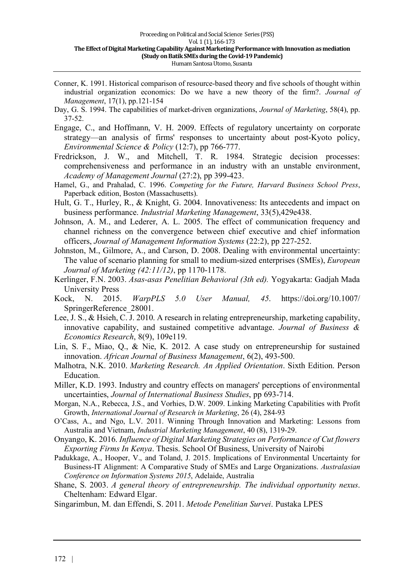- Conner, K. 1991. Historical comparison of resource-based theory and five schools of thought within industrial organization economics: Do we have a new theory of the firm?. *Journal of Management*, 17(1), pp.121-154
- Day, G. S. 1994. The capabilities of market-driven organizations, *Journal of Marketing*, 58(4), pp. 37-52.
- Engage, C., and Hoffmann, V. H. 2009. Effects of regulatory uncertainty on corporate strategy—an analysis of firms' responses to uncertainty about post-Kyoto policy, *Environmental Science & Policy* (12:7), pp 766-777.
- Fredrickson, J. W., and Mitchell, T. R. 1984. Strategic decision processes: comprehensiveness and performance in an industry with an unstable environment, *Academy of Management Journal* (27:2), pp 399-423.
- Hamel, G., and Prahalad, C. 1996. *Competing for the Future, Harvard Business School Press*, Paperback edition, Boston (Massachusetts).
- Hult, G. T., Hurley, R., & Knight, G. 2004. Innovativeness: Its antecedents and impact on business performance. *Industrial Marketing Management*, 33(5),429e438.
- Johnson, A. M., and Lederer, A. L. 2005. The effect of communication frequency and channel richness on the convergence between chief executive and chief information officers, *Journal of Management Information Systems* (22:2), pp 227-252.
- Johnston, M., Gilmore, A., and Carson, D. 2008. Dealing with environmental uncertainty: The value of scenario planning for small to medium-sized enterprises (SMEs), *European Journal of Marketing (42:11/12)*, pp 1170-1178.
- Kerlinger, F.N. 2003. *Asas-asas Penelitian Behavioral (3th ed).* Yogyakarta: Gadjah Mada University Press
- Kock, N. 2015. *WarpPLS 5.0 User Manual, 45*. https://doi.org/10.1007/ SpringerReference\_28001.
- Lee, J. S., & Hsieh, C. J. 2010. A research in relating entrepreneurship, marketing capability, innovative capability, and sustained competitive advantage. *Journal of Business & Economics Research*, 8(9), 109e119.
- Lin, S. F., Miao, Q., & Nie, K. 2012. A case study on entrepreneurship for sustained innovation. *African Journal of Business Management*, 6(2), 493-500.
- Malhotra, N.K. 2010. *Marketing Research. An Applied Orientation*. Sixth Edition. Person Education.
- Miller, K.D. 1993. Industry and country effects on managers' perceptions of environmental uncertainties, *Journal of International Business Studies*, pp 693-714.
- Morgan, N.A., Rebecca, J.S., and Vorhies, D.W. 2009. Linking Marketing Capabilities with Profit Growth, *International Journal of Research in Marketing*, 26 (4), 284-93
- O'Cass, A., and Ngo, L.V. 2011. Winning Through Innovation and Marketing: Lessons from Australia and Vietnam, *Industrial Marketing Management*, 40 (8), 1319-29.
- Onyango, K. 2016. *Influence of Digital Marketing Strategies on Performance of Cut flowers Exporting Firms In Kenya*. Thesis. School Of Business, University of Nairobi
- Padukkage, A., Hooper, V., and Toland, J. 2015. Implications of Environmental Uncertainty for Business-IT Alignment: A Comparative Study of SMEs and Large Organizations. *Australasian Conference on Information Systems 2015*, Adelaide, Australia
- Shane, S. 2003. *A general theory of entrepreneurship. The individual opportunity nexus*. Cheltenham: Edward Elgar.
- Singarimbun, M. dan Effendi, S. 2011. *Metode Penelitian Survei*. Pustaka LPES